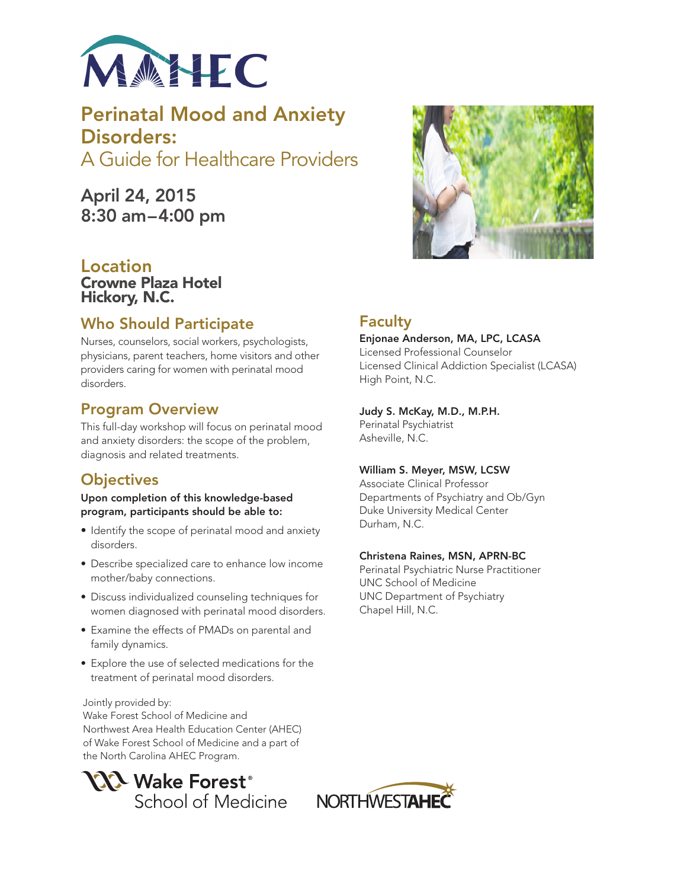

Perinatal Mood and Anxiety Disorders: A Guide for Healthcare Providers

April 24, 2015 8:30 am–4:00 pm

## Location Crowne Plaza Hotel Hickory, N.C.

# Who Should Participate

Nurses, counselors, social workers, psychologists, physicians, parent teachers, home visitors and other providers caring for women with perinatal mood disorders.

# Program Overview

This full-day workshop will focus on perinatal mood and anxiety disorders: the scope of the problem, diagnosis and related treatments.

# **Objectives**

Upon completion of this knowledge-based program, participants should be able to:

- Identify the scope of perinatal mood and anxiety disorders.
- Describe specialized care to enhance low income mother/baby connections.
- Discuss individualized counseling techniques for women diagnosed with perinatal mood disorders.
- • Examine the effects of PMADs on parental and family dynamics.
- Explore the use of selected medications for the treatment of perinatal mood disorders.

Jointly provided by: Wake Forest School of Medicine and Northwest Area Health Education Center (AHEC) of Wake Forest School of Medicine and a part of

the North Carolina AHEC Program.





### Judy S. McKay, M.D., M.P.H.

Perinatal Psychiatrist Asheville, N.C.

## William S. Meyer, MSW, LCSW

Associate Clinical Professor Departments of Psychiatry and Ob/Gyn Duke University Medical Center Durham, N.C.

### Christena Raines, MSN, APRN-BC

Perinatal Psychiatric Nurse Practitioner UNC School of Medicine UNC Department of Psychiatry Chapel Hill, N.C.



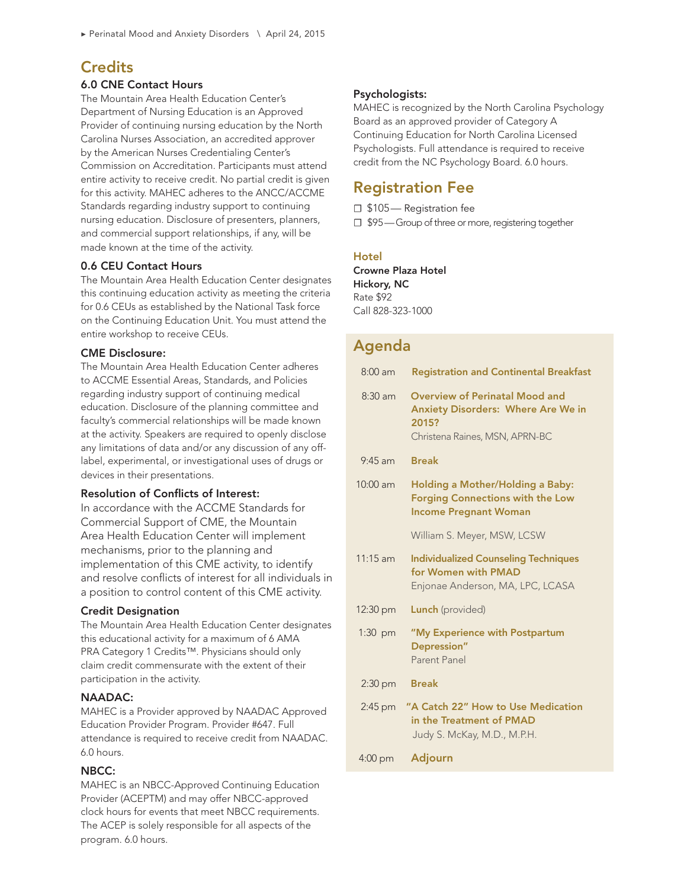## **Credits**

#### 6.0 CNE Contact Hours

The Mountain Area Health Education Center's Department of Nursing Education is an Approved Provider of continuing nursing education by the North Carolina Nurses Association, an accredited approver by the American Nurses Credentialing Center's Commission on Accreditation. Participants must attend entire activity to receive credit. No partial credit is given for this activity. MAHEC adheres to the ANCC/ACCME Standards regarding industry support to continuing nursing education. Disclosure of presenters, planners, and commercial support relationships, if any, will be made known at the time of the activity.

#### 0.6 CEU Contact Hours

The Mountain Area Health Education Center designates this continuing education activity as meeting the criteria for 0.6 CEUs as established by the National Task force on the Continuing Education Unit. You must attend the entire workshop to receive CEUs.

#### CME Disclosure:

The Mountain Area Health Education Center adheres to ACCME Essential Areas, Standards, and Policies regarding industry support of continuing medical education. Disclosure of the planning committee and faculty's commercial relationships will be made known at the activity. Speakers are required to openly disclose any limitations of data and/or any discussion of any offlabel, experimental, or investigational uses of drugs or devices in their presentations.

#### Resolution of Conflicts of Interest:

In accordance with the ACCME Standards for Commercial Support of CME, the Mountain Area Health Education Center will implement mechanisms, prior to the planning and implementation of this CME activity, to identify and resolve conflicts of interest for all individuals in a position to control content of this CME activity.

#### Credit Designation

The Mountain Area Health Education Center designates this educational activity for a maximum of 6 AMA PRA Category 1 Credits™. Physicians should only claim credit commensurate with the extent of their participation in the activity.

#### NAADAC:

MAHEC is a Provider approved by NAADAC Approved Education Provider Program. Provider #647. Full attendance is required to receive credit from NAADAC. 6.0 hours.

### NBCC:

MAHEC is an NBCC-Approved Continuing Education Provider (ACEPTM) and may offer NBCC-approved clock hours for events that meet NBCC requirements. The ACEP is solely responsible for all aspects of the program. 6.0 hours.

#### Psychologists:

MAHEC is recognized by the North Carolina Psychology Board as an approved provider of Category A Continuing Education for North Carolina Licensed Psychologists. Full attendance is required to receive credit from the NC Psychology Board. 6.0 hours.

## Registration Fee

☐ \$105— Registration fee

□ \$95 — Group of three or more, registering together

### **Hotel**

[Crowne Plaza Hotel](http://www.crowneplaza.com/redirect?path=hd&brandCode=cp&localeCode=en®ionCode=1&hotelCode=hcknc&_PMID=99801505&GPC=PMD) Hickory, NC Rate \$92 Call 828-323-1000

# Agenda

| $8:00$ am          | <b>Registration and Continental Breakfast</b>                                                                                 |
|--------------------|-------------------------------------------------------------------------------------------------------------------------------|
| $8:30$ am          | <b>Overview of Perinatal Mood and</b><br><b>Anxiety Disorders: Where Are We in</b><br>2015?<br>Christena Raines, MSN, APRN-BC |
| $9.45$ am          | <b>Break</b>                                                                                                                  |
| $10:00$ am         | Holding a Mother/Holding a Baby:<br><b>Forging Connections with the Low</b><br><b>Income Pregnant Woman</b>                   |
|                    | William S. Meyer, MSW, LCSW                                                                                                   |
| 11:15 am           | <b>Individualized Counseling Techniques</b><br>for Women with PMAD<br>Enjonae Anderson, MA, LPC, LCASA                        |
| $12:30 \text{ pm}$ | <b>Lunch</b> (provided)                                                                                                       |
| $1:30$ pm          | "My Experience with Postpartum<br>Depression"<br>Parent Panel                                                                 |
| $2:30$ pm          | <b>Break</b>                                                                                                                  |
| $2:45$ pm          | "A Catch 22" How to Use Medication<br>in the Treatment of PMAD<br>Judy S. McKay, M.D., M.P.H.                                 |
| 4:00 pm            | <b>Adjourn</b>                                                                                                                |